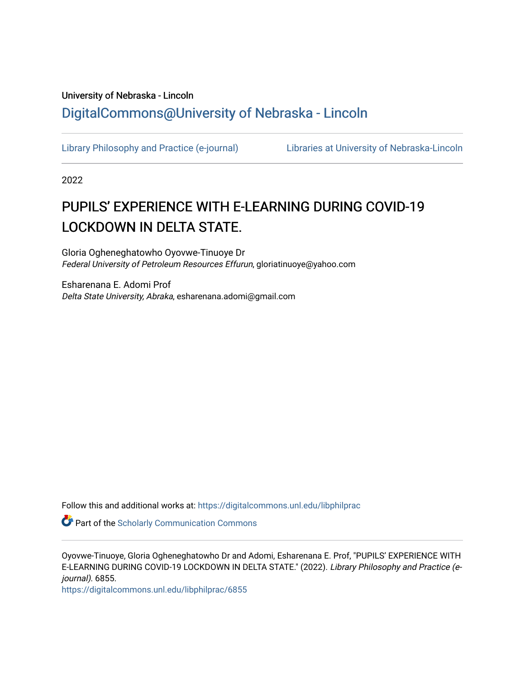## University of Nebraska - Lincoln [DigitalCommons@University of Nebraska - Lincoln](https://digitalcommons.unl.edu/)

[Library Philosophy and Practice \(e-journal\)](https://digitalcommons.unl.edu/libphilprac) [Libraries at University of Nebraska-Lincoln](https://digitalcommons.unl.edu/libraries) 

2022

# PUPILS' EXPERIENCE WITH E-LEARNING DURING COVID-19 LOCKDOWN IN DELTA STATE.

Gloria Ogheneghatowho Oyovwe-Tinuoye Dr Federal University of Petroleum Resources Effurun, gloriatinuoye@yahoo.com

Esharenana E. Adomi Prof Delta State University, Abraka, esharenana.adomi@gmail.com

Follow this and additional works at: [https://digitalcommons.unl.edu/libphilprac](https://digitalcommons.unl.edu/libphilprac?utm_source=digitalcommons.unl.edu%2Flibphilprac%2F6855&utm_medium=PDF&utm_campaign=PDFCoverPages) 

**Part of the Scholarly Communication Commons** 

Oyovwe-Tinuoye, Gloria Ogheneghatowho Dr and Adomi, Esharenana E. Prof, "PUPILS' EXPERIENCE WITH E-LEARNING DURING COVID-19 LOCKDOWN IN DELTA STATE." (2022). Library Philosophy and Practice (ejournal). 6855.

[https://digitalcommons.unl.edu/libphilprac/6855](https://digitalcommons.unl.edu/libphilprac/6855?utm_source=digitalcommons.unl.edu%2Flibphilprac%2F6855&utm_medium=PDF&utm_campaign=PDFCoverPages)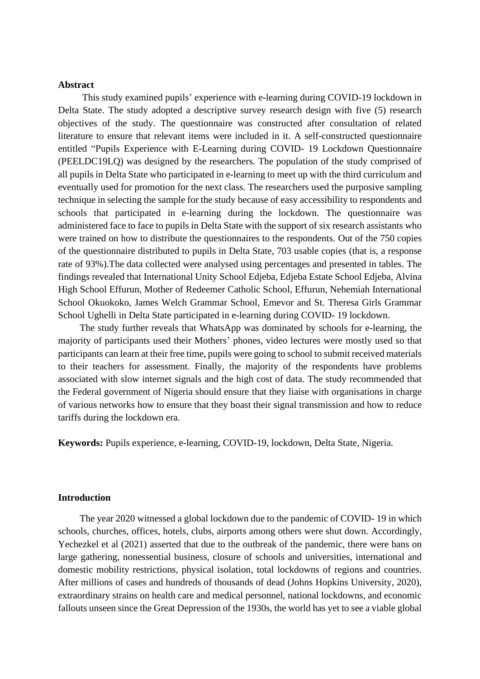#### **Abstract**

 This study examined pupils' experience with e-learning during COVID-19 lockdown in Delta State. The study adopted a descriptive survey research design with five (5) research objectives of the study. The questionnaire was constructed after consultation of related literature to ensure that relevant items were included in it. A self-constructed questionnaire entitled "Pupils Experience with E-Learning during COVID- 19 Lockdown Questionnaire (PEELDC19LQ) was designed by the researchers. The population of the study comprised of all pupils in Delta State who participated in e-learning to meet up with the third curriculum and eventually used for promotion for the next class. The researchers used the purposive sampling technique in selecting the sample for the study because of easy accessibility to respondents and schools that participated in e-learning during the lockdown. The questionnaire was administered face to face to pupils in Delta State with the support of six research assistants who were trained on how to distribute the questionnaires to the respondents. Out of the 750 copies of the questionnaire distributed to pupils in Delta State, 703 usable copies (that is, a response rate of 93%).The data collected were analysed using percentages and presented in tables. The findings revealed that International Unity School Edjeba, Edjeba Estate School Edjeba, Alvina High School Effurun, Mother of Redeemer Catholic School, Effurun, Nehemiah International School Okuokoko, James Welch Grammar School, Emevor and St. Theresa Girls Grammar School Ughelli in Delta State participated in e-learning during COVID- 19 lockdown.

 The study further reveals that WhatsApp was dominated by schools for e-learning, the majority of participants used their Mothers' phones, video lectures were mostly used so that participants can learn at their free time, pupils were going to school to submit received materials to their teachers for assessment. Finally, the majority of the respondents have problems associated with slow internet signals and the high cost of data. The study recommended that the Federal government of Nigeria should ensure that they liaise with organisations in charge of various networks how to ensure that they boast their signal transmission and how to reduce tariffs during the lockdown era.

**Keywords:** Pupils experience, e-learning, COVID-19, lockdown, Delta State, Nigeria.

#### **Introduction**

 The year 2020 witnessed a global lockdown due to the pandemic of COVID- 19 in which schools, churches, offices, hotels, clubs, airports among others were shut down. Accordingly, Yechezkel et al (2021) asserted that due to the outbreak of the pandemic, there were bans on large gathering, nonessential business, closure of schools and universities, international and domestic mobility restrictions, physical isolation, total lockdowns of regions and countries. After millions of cases and hundreds of thousands of dead (Johns Hopkins University, 2020), extraordinary strains on health care and medical personnel, national lockdowns, and economic fallouts unseen since the Great Depression of the 1930s, the world has yet to see a viable global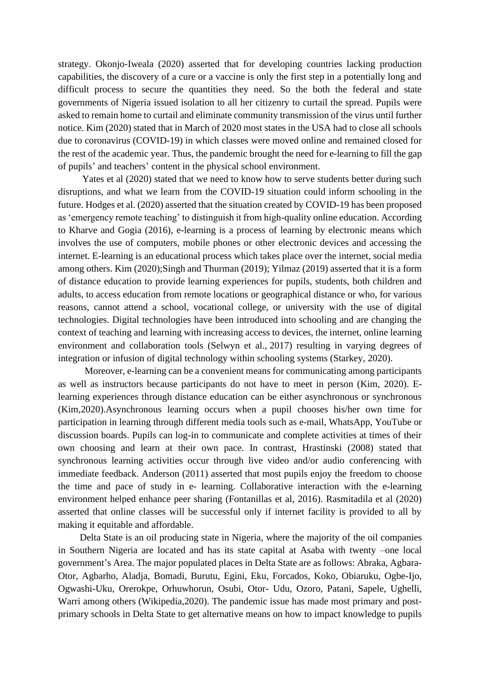strategy. Okonjo-Iweala (2020) asserted that for developing countries lacking production capabilities, the discovery of a cure or a vaccine is only the first step in a potentially long and difficult process to secure the quantities they need. So the both the federal and state governments of Nigeria issued isolation to all her citizenry to curtail the spread. Pupils were asked to remain home to curtail and eliminate community transmission of the virus until further notice. Kim (2020) stated that in March of 2020 most states in the USA had to close all schools due to coronavirus (COVID-19) in which classes were moved online and remained closed for the rest of the academic year. Thus, the pandemic brought the need for e-learning to fill the gap of pupils' and teachers' content in the physical school environment.

 Yates et al (2020) stated that we need to know how to serve students better during such disruptions, and what we learn from the COVID-19 situation could inform schooling in the future. Hodges et al. (2020) asserted that the situation created by COVID-19 has been proposed as 'emergency remote teaching' to distinguish it from high-quality online education. According to Kharve and Gogia (2016), e-learning is a process of learning by electronic means which involves the use of computers, mobile phones or other electronic devices and accessing the internet. E-learning is an educational process which takes place over the internet, social media among others. Kim (2020);Singh and Thurman (2019); Yilmaz (2019) asserted that it is a form of distance education to provide learning experiences for pupils, students, both children and adults, to access education from remote locations or geographical distance or who, for various reasons, cannot attend a school, vocational college, or university with the use of digital technologies. Digital technologies have been introduced into schooling and are changing the context of teaching and learning with increasing access to devices, the internet, online learning environment and collaboration tools (Selwyn et al., [2017\)](https://www.tandfonline.com/doi/full/10.1080/1475939X.2020.1854337) resulting in varying degrees of integration or infusion of digital technology within schooling systems (Starkey, [2020\)](https://www.tandfonline.com/doi/full/10.1080/1475939X.2020.1854337).

 Moreover, e-learning can be a convenient means for communicating among participants as well as instructors because participants do not have to meet in person (Kim, 2020). Elearning experiences through distance education can be either asynchronous or synchronous (Kim,2020).Asynchronous learning occurs when a pupil chooses his/her own time for participation in learning through different media tools such as e-mail, WhatsApp, YouTube or discussion boards. Pupils can log-in to communicate and complete activities at times of their own choosing and learn at their own pace. In contrast, Hrastinski (2008) stated that synchronous learning activities occur through live video and/or audio conferencing with immediate feedback. Anderson (2011) asserted that most pupils enjoy the freedom to choose the time and pace of study in e- learning. Collaborative interaction with the e-learning environment helped enhance peer sharing (Fontanillas et al, 2016). Rasmitadila et al (2020) asserted that online classes will be successful only if internet facility is provided to all by making it equitable and affordable.

 Delta State is an oil producing state in Nigeria, where the majority of the oil companies in Southern Nigeria are located and has its state capital at Asaba with twenty –one local government's Area. The major populated places in Delta State are as follows: Abraka, Agbara-Otor, Agbarho, Aladja, Bomadi, Burutu, Egini, Eku, Forcados, Koko, Obiaruku, Ogbe-Ijo, Ogwashi-Uku, Orerokpe, Orhuwhorun, Osubi, Otor- Udu, Ozoro, Patani, Sapele, Ughelli, Warri among others (Wikipedia,2020). The pandemic issue has made most primary and postprimary schools in Delta State to get alternative means on how to impact knowledge to pupils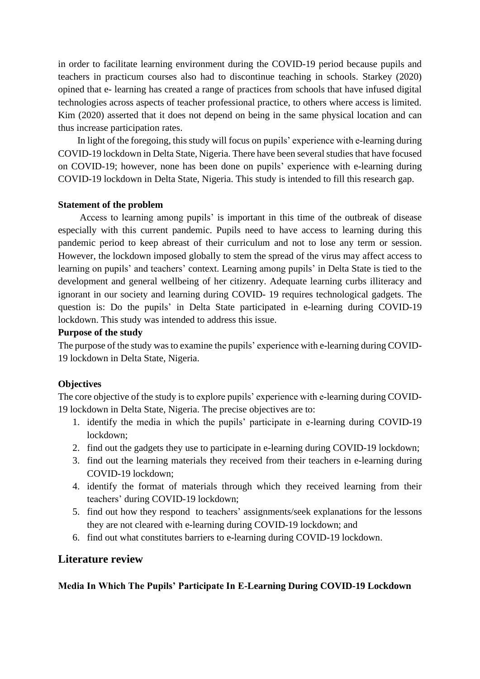in order to facilitate learning environment during the COVID-19 period because pupils and teachers in practicum courses also had to discontinue teaching in schools. Starkey (2020) opined that e- learning has created a range of practices from schools that have infused digital technologies across aspects of teacher professional practice, to others where access is limited. Kim (2020) asserted that it does not depend on being in the same physical location and can thus increase participation rates.

 In light of the foregoing, this study will focus on pupils' experience with e-learning during COVID-19 lockdown in Delta State, Nigeria. There have been several studies that have focused on COVID-19; however, none has been done on pupils' experience with e-learning during COVID-19 lockdown in Delta State, Nigeria. This study is intended to fill this research gap.

#### **Statement of the problem**

 Access to learning among pupils' is important in this time of the outbreak of disease especially with this current pandemic. Pupils need to have access to learning during this pandemic period to keep abreast of their curriculum and not to lose any term or session. However, the lockdown imposed globally to stem the spread of the virus may affect access to learning on pupils' and teachers' context. Learning among pupils' in Delta State is tied to the development and general wellbeing of her citizenry. Adequate learning curbs illiteracy and ignorant in our society and learning during COVID- 19 requires technological gadgets. The question is: Do the pupils' in Delta State participated in e-learning during COVID-19 lockdown. This study was intended to address this issue.

## **Purpose of the study**

The purpose of the study was to examine the pupils' experience with e-learning during COVID-19 lockdown in Delta State, Nigeria.

## **Objectives**

The core objective of the study is to explore pupils' experience with e-learning during COVID-19 lockdown in Delta State, Nigeria. The precise objectives are to:

- 1. identify the media in which the pupils' participate in e-learning during COVID-19 lockdown;
- 2. find out the gadgets they use to participate in e-learning during COVID-19 lockdown;
- 3. find out the learning materials they received from their teachers in e-learning during COVID-19 lockdown;
- 4. identify the format of materials through which they received learning from their teachers' during COVID-19 lockdown;
- 5. find out how they respond to teachers' assignments/seek explanations for the lessons they are not cleared with e-learning during COVID-19 lockdown; and
- 6. find out what constitutes barriers to e-learning during COVID-19 lockdown.

## **Literature review**

**Media In Which The Pupils' Participate In E-Learning During COVID-19 Lockdown**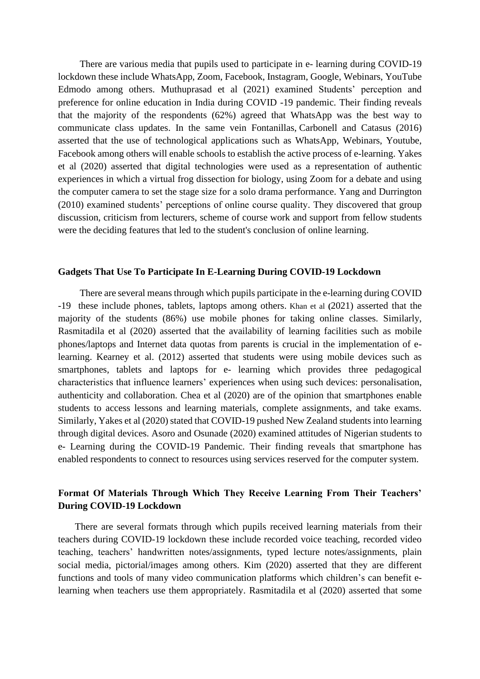There are various media that pupils used to participate in e- learning during COVID-19 lockdown these include WhatsApp, Zoom, Facebook, Instagram, Google, Webinars, YouTube Edmodo among others. Muthuprasad et al (2021) examined Students' perception and preference for online education in India during COVID -19 pandemic. Their finding reveals that the majority of the respondents (62%) agreed that WhatsApp was the best way to communicate class updates. In the same vein Fontanillas, Carbonell and Catasus (2016) asserted that the use of technological applications such as WhatsApp, Webinars, Youtube, Facebook among others will enable schools to establish the active process of e-learning. Yakes et al (2020) asserted that digital technologies were used as a representation of authentic experiences in which a virtual frog dissection for biology, using Zoom for a debate and using the computer camera to set the stage size for a solo drama performance. Yang and Durrington (2010) examined [students' perceptions of online course quality.](https://www.learntechlib.org/primary/p/29460/) They discovered that group discussion, criticism from lecturers, scheme of course work and support from fellow students were the deciding features that led to the student's conclusion of online learning.

#### **Gadgets That Use To Participate In E-Learning During COVID-19 Lockdown**

 There are several means through which pupils participate in the e-learning during COVID -19 these include phones, tablets, laptops among others. Khan et al **(**2021) asserted that the majority of the students (86%) use mobile phones for taking online classes. Similarly, Rasmitadila et al (2020) asserted that the availability of learning facilities such as mobile phones/laptops and Internet data quotas from parents is crucial in the implementation of elearning. Kearney et al. (2012) asserted that students were using mobile devices such as smartphones, tablets and laptops for e- learning which provides three pedagogical characteristics that influence learners' experiences when using such devices: personalisation, authenticity and collaboration. Chea et al (2020) are of the opinion that smartphones enable students to access lessons and learning materials, complete assignments, and take exams. Similarly, Yakes et al (2020) stated that COVID-19 pushed New Zealand students into learning through digital devices. Asoro and Osunade (2020) examined attitudes of Nigerian students to e- Learning during the COVID-19 Pandemic. Their finding reveals that smartphone has enabled respondents to connect to resources using services reserved for the computer system.

## **Format Of Materials Through Which They Receive Learning From Their Teachers' During COVID-19 Lockdown**

 There are several formats through which pupils received learning materials from their teachers during COVID-19 lockdown these include recorded voice teaching, recorded video teaching, teachers' handwritten notes/assignments, typed lecture notes/assignments, plain social media, pictorial/images among others. Kim (2020) asserted that they are different functions and tools of many video communication platforms which children's can benefit elearning when teachers use them appropriately. Rasmitadila et al (2020) asserted that some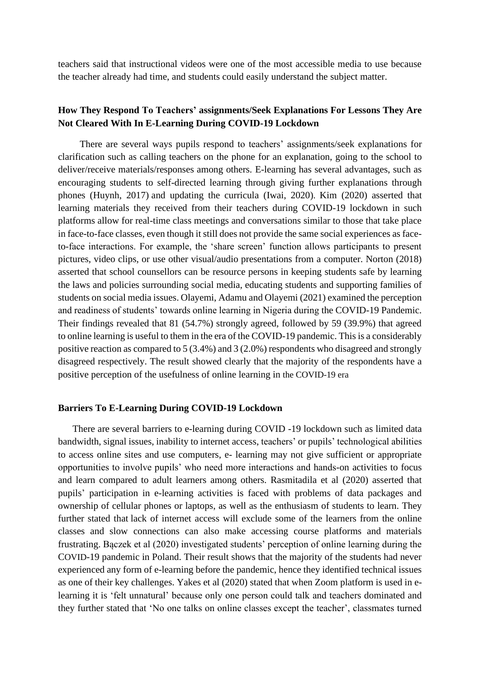teachers said that instructional videos were one of the most accessible media to use because the teacher already had time, and students could easily understand the subject matter.

## **How They Respond To Teachers' assignments/Seek Explanations For Lessons They Are Not Cleared With In E-Learning During COVID-19 Lockdown**

There are several ways pupils respond to teachers' assignments/seek explanations for clarification such as calling teachers on the phone for an explanation, going to the school to deliver/receive materials/responses among others. E-learning has several advantages, such as encouraging students to self-directed learning through giving further explanations through phones (Huynh, 2017) and updating the curricula (Iwai, 2020). Kim (2020) asserted that learning materials they received from their teachers during COVID-19 lockdown in such platforms allow for real-time class meetings and conversations similar to those that take place in face-to-face classes, even though it still does not provide the same social experiences as faceto-face interactions. For example, the 'share screen' function allows participants to present pictures, video clips, or use other visual/audio presentations from a computer. Norton (2018) asserted that school counsellors can be resource persons in keeping students safe by learning the laws and policies surrounding social media, educating students and supporting families of students on social media issues. Olayemi, Adamu and Olayemi (2021) examined the perception and readiness of students' towards online learning in Nigeria during the COVID-19 Pandemic. Their findings revealed that 81 (54.7%) strongly agreed, followed by 59 (39.9%) that agreed to online learning is useful to them in the era of the COVID-19 pandemic. This is a considerably positive reaction as compared to 5 (3.4%) and 3 (2.0%) respondents who disagreed and strongly disagreed respectively. The result showed clearly that the majority of the respondents have a positive perception of the usefulness of online learning in the COVID-19 era

#### **Barriers To E-Learning During COVID-19 Lockdown**

 There are several barriers to e-learning during COVID -19 lockdown such as limited data bandwidth, signal issues, inability to internet access, teachers' or pupils' technological abilities to access online sites and use computers, e- learning may not give sufficient or appropriate opportunities to involve pupils' who need more interactions and hands-on activities to focus and learn compared to adult learners among others. Rasmitadila et al (2020) asserted that pupils' participation in e-learning activities is faced with problems of data packages and ownership of cellular phones or laptops, as well as the enthusiasm of students to learn. They further stated that lack of internet access will exclude some of the learners from the online classes and slow connections can also make accessing course platforms and materials frustrating. Bączek et al (2020) investigated students' perception of online learning during the COVID-19 pandemic in Poland. Their result shows that the majority of the students had never experienced any form of e-learning before the pandemic, hence they identified technical issues as one of their key challenges. Yakes et al (2020) stated that when Zoom platform is used in elearning it is 'felt unnatural' because only one person could talk and teachers dominated and they further stated that 'No one talks on online classes except the teacher', classmates turned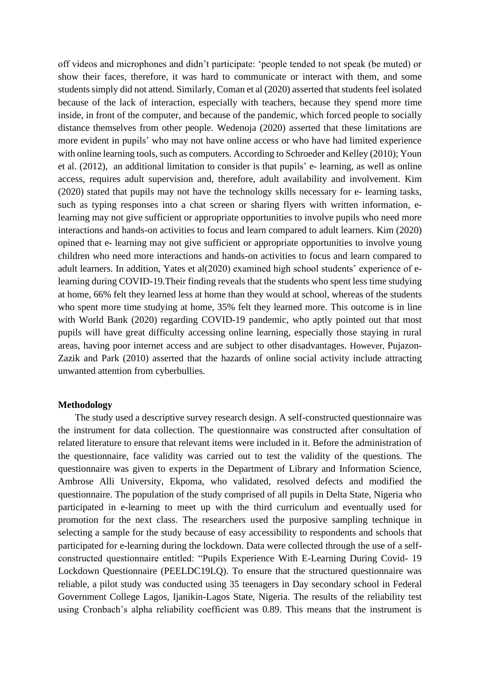off videos and microphones and didn't participate: 'people tended to not speak (be muted) or show their faces, therefore, it was hard to communicate or interact with them, and some students simply did not attend. Similarly, Coman et al (2020) asserted that students feel isolated because of the lack of interaction, especially with teachers, because they spend more time inside, in front of the computer, and because of the pandemic, which forced people to socially distance themselves from other people. Wedenoja (2020) asserted that these limitations are more evident in pupils' who may not have online access or who have had limited experience with online learning tools, such as computers. According to Schroeder and Kelley (2010); Youn et al. (2012), an additional limitation to consider is that pupils' e- learning, as well as online access, requires adult supervision and, therefore, adult availability and involvement. Kim (2020) stated that pupils may not have the technology skills necessary for e- learning tasks, such as typing responses into a chat screen or sharing flyers with written information, elearning may not give sufficient or appropriate opportunities to involve pupils who need more interactions and hands-on activities to focus and learn compared to adult learners. Kim (2020) opined that e- learning may not give sufficient or appropriate opportunities to involve young children who need more interactions and hands-on activities to focus and learn compared to adult learners. In addition, Yates et al(2020) examined high school students' experience of elearning during COVID-19.Their finding reveals that the students who spent less time studying at home, 66% felt they learned less at home than they would at school, whereas of the students who spent more time studying at home, 35% felt they learned more. This outcome is in line with World Bank (2020) regarding COVID-19 pandemic, who aptly pointed out that most pupils will have great difficulty accessing online learning, especially those staying in rural areas, having poor internet access and are subject to other disadvantages. However, Pujazon-Zazik and Park (2010) asserted that the hazards of online social activity include attracting unwanted attention from cyberbullies.

#### **Methodology**

 The study used a descriptive survey research design. A self-constructed questionnaire was the instrument for data collection. The questionnaire was constructed after consultation of related literature to ensure that relevant items were included in it. Before the administration of the questionnaire, face validity was carried out to test the validity of the questions. The questionnaire was given to experts in the Department of Library and Information Science, Ambrose Alli University, Ekpoma, who validated, resolved defects and modified the questionnaire. The population of the study comprised of all pupils in Delta State, Nigeria who participated in e-learning to meet up with the third curriculum and eventually used for promotion for the next class. The researchers used the purposive sampling technique in selecting a sample for the study because of easy accessibility to respondents and schools that participated for e-learning during the lockdown. Data were collected through the use of a selfconstructed questionnaire entitled: "Pupils Experience With E-Learning During Covid- 19 Lockdown Questionnaire (PEELDC19LQ). To ensure that the structured questionnaire was reliable, a pilot study was conducted using 35 teenagers in Day secondary school in Federal Government College Lagos, Ijanikin-Lagos State, Nigeria. The results of the reliability test using Cronbach's alpha reliability coefficient was 0.89. This means that the instrument is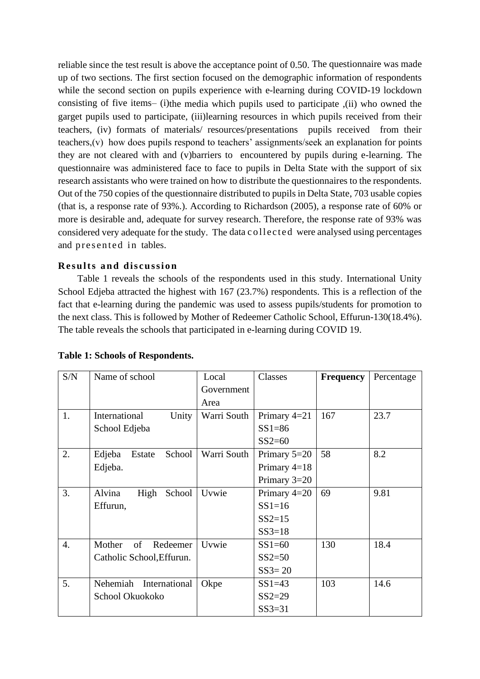reliable since the test result is above the acceptance point of 0.50. The questionnaire was made up of two sections. The first section focused on the demographic information of respondents while the second section on pupils experience with e-learning during COVID-19 lockdown consisting of five items– (i)the media which pupils used to participate ,(ii) who owned the garget pupils used to participate, (iii)learning resources in which pupils received from their teachers, (iv) formats of materials/ resources/presentations pupils received from their teachers,(v) how does pupils respond to teachers' assignments/seek an explanation for points they are not cleared with and (v)barriers to encountered by pupils during e-learning. The questionnaire was administered face to face to pupils in Delta State with the support of six research assistants who were trained on how to distribute the questionnaires to the respondents. Out of the 750 copies of the questionnaire distributed to pupils in Delta State, 703 usable copies (that is, a response rate of 93%.). According to Richardson (2005), a response rate of 60% or more is desirable and, adequate for survey research. Therefore, the response rate of 93% was considered very adequate for the study. The data c ollected were analysed using percentages and presented in tables.

#### **Results and discussion**

 Table 1 reveals the schools of the respondents used in this study. International Unity School Edjeba attracted the highest with 167 (23.7%) respondents. This is a reflection of the fact that e-learning during the pandemic was used to assess pupils/students for promotion to the next class. This is followed by Mother of Redeemer Catholic School, Effurun-130(18.4%). The table reveals the schools that participated in e-learning during COVID 19.

| S/N | Name of school             | Local       | Classes        | <b>Frequency</b> | Percentage |
|-----|----------------------------|-------------|----------------|------------------|------------|
|     |                            | Government  |                |                  |            |
|     |                            | Area        |                |                  |            |
| 1.  | International<br>Unity     | Warri South | Primary $4=21$ | 167              | 23.7       |
|     | School Edjeba              |             | $SS1=86$       |                  |            |
|     |                            |             | $SS2=60$       |                  |            |
| 2.  | Edjeba<br>School<br>Estate | Warri South | Primary $5=20$ | 58               | 8.2        |
|     | Edjeba.                    |             | Primary $4=18$ |                  |            |
|     |                            |             | Primary $3=20$ |                  |            |
| 3.  | Alvina<br>High<br>School   | Uvwie       | Primary $4=20$ | 69               | 9.81       |
|     | Effurun,                   |             | $SS1=16$       |                  |            |
|     |                            |             | $SS2=15$       |                  |            |
|     |                            |             | $SS3=18$       |                  |            |
| 4.  | Mother<br>of<br>Redeemer   | Uvwie       | $SS1=60$       | 130              | 18.4       |
|     | Catholic School, Effurun.  |             | $SS2=50$       |                  |            |
|     |                            |             | $SS3 = 20$     |                  |            |
| 5.  | Nehemiah<br>International  | Okpe        | $SS1=43$       | 103              | 14.6       |
|     | School Okuokoko            |             | $SS2=29$       |                  |            |
|     |                            |             | $SS3=31$       |                  |            |

#### **Table 1: Schools of Respondents.**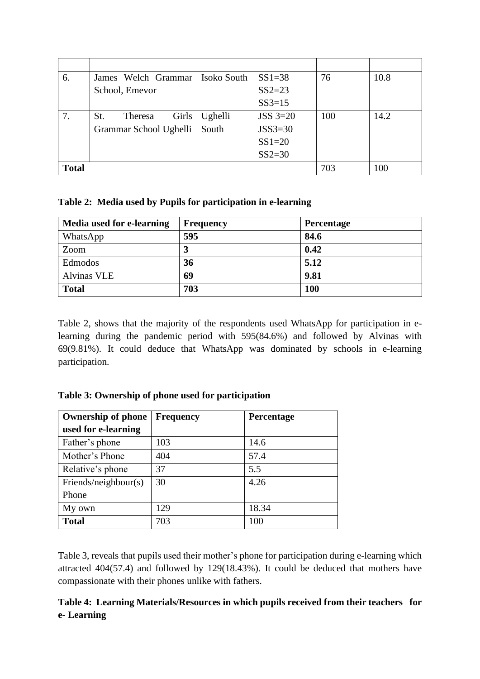| 6.           | James Welch Grammar     | Isoko South | $SS1=38$   | 76  | 10.8 |
|--------------|-------------------------|-------------|------------|-----|------|
|              | School, Emevor          |             | $SS2=23$   |     |      |
|              |                         |             | $SS3=15$   |     |      |
| 7.           | Girls<br>St.<br>Theresa | Ughelli     | $JSS$ 3=20 | 100 | 14.2 |
|              | Grammar School Ughelli  | South       | $JSS3=30$  |     |      |
|              |                         |             | $SS1=20$   |     |      |
|              |                         |             | $SS2=30$   |     |      |
| <b>Total</b> |                         |             |            | 703 | 100  |

**Table 2: Media used by Pupils for participation in e-learning**

| Media used for e-learning | <b>Frequency</b> | <b>Percentage</b> |
|---------------------------|------------------|-------------------|
| WhatsApp                  | 595              | 84.6              |
| Zoom                      | 3                | 0.42              |
| Edmodos                   | 36               | 5.12              |
| <b>Alvinas VLE</b>        | 69               | 9.81              |
| <b>Total</b>              | 703              | 100               |

Table 2, shows that the majority of the respondents used WhatsApp for participation in elearning during the pandemic period with 595(84.6%) and followed by Alvinas with 69(9.81%). It could deduce that WhatsApp was dominated by schools in e-learning participation.

## **Table 3: Ownership of phone used for participation**

| <b>Ownership of phone</b> | <b>Frequency</b> | <b>Percentage</b> |
|---------------------------|------------------|-------------------|
| used for e-learning       |                  |                   |
| Father's phone            | 103              | 14.6              |
| Mother's Phone            | 404              | 57.4              |
| Relative's phone          | 37               | 5.5               |
| Friends/neighbour(s)      | 30               | 4.26              |
| Phone                     |                  |                   |
| My own                    | 129              | 18.34             |
| <b>Total</b>              | 703              | 100               |

Table 3, reveals that pupils used their mother's phone for participation during e-learning which attracted 404(57.4) and followed by 129(18.43%). It could be deduced that mothers have compassionate with their phones unlike with fathers.

## **Table 4: Learning Materials/Resources in which pupils received from their teachers for e- Learning**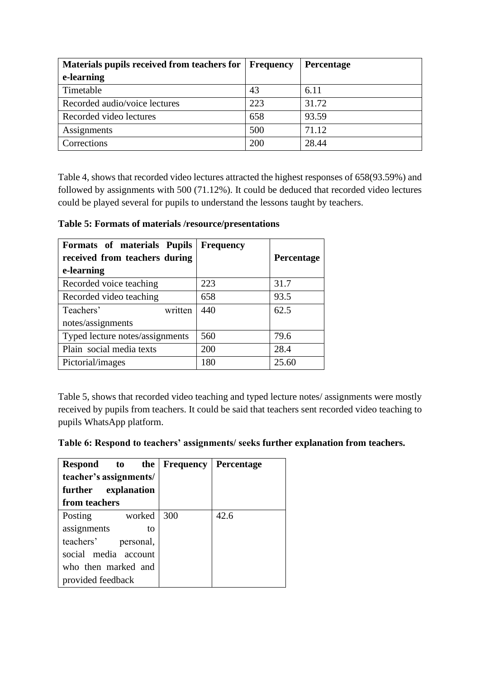| Materials pupils received from teachers for Frequency |     | Percentage |
|-------------------------------------------------------|-----|------------|
| e-learning                                            |     |            |
| Timetable                                             | 43  | 6.11       |
| Recorded audio/voice lectures                         | 223 | 31.72      |
| Recorded video lectures                               | 658 | 93.59      |
| Assignments                                           | 500 | 71.12      |
| Corrections                                           | 200 | 28.44      |

Table 4, shows that recorded video lectures attracted the highest responses of 658(93.59%) and followed by assignments with 500 (71.12%). It could be deduced that recorded video lectures could be played several for pupils to understand the lessons taught by teachers.

| Table 5: Formats of materials /resource/presentations |  |
|-------------------------------------------------------|--|
|-------------------------------------------------------|--|

| Formats of materials Pupils     | <b>Frequency</b> |            |
|---------------------------------|------------------|------------|
| received from teachers during   |                  | Percentage |
| e-learning                      |                  |            |
| Recorded voice teaching         | 223              | 31.7       |
| Recorded video teaching         | 658              | 93.5       |
| written<br>Teachers'            | 440              | 62.5       |
| notes/assignments               |                  |            |
| Typed lecture notes/assignments | 560              | 79.6       |
| Plain social media texts        | 200              | 28.4       |
| Pictorial/images                | 180              | 25.60      |

Table 5, shows that recorded video teaching and typed lecture notes/ assignments were mostly received by pupils from teachers. It could be said that teachers sent recorded video teaching to pupils WhatsApp platform.

| Table 6: Respond to teachers' assignments/ seeks further explanation from teachers. |  |  |
|-------------------------------------------------------------------------------------|--|--|
|                                                                                     |  |  |

| Respond to the         | <b>Frequency</b> | <b>Percentage</b> |
|------------------------|------------------|-------------------|
| teacher's assignments/ |                  |                   |
| further explanation    |                  |                   |
| from teachers          |                  |                   |
| worked<br>Posting      | 300              | 42.6              |
| assignments<br>to      |                  |                   |
| teachers' personal,    |                  |                   |
| social media account   |                  |                   |
| who then marked and    |                  |                   |
| provided feedback      |                  |                   |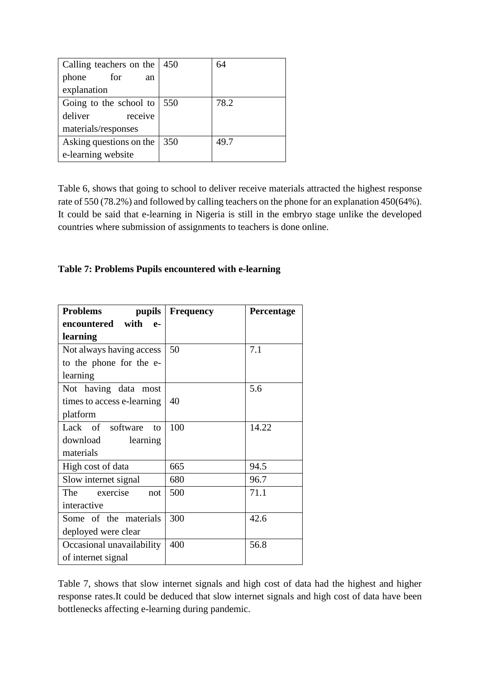| Calling teachers on the | 450 | 64   |
|-------------------------|-----|------|
| phone<br>for<br>an      |     |      |
| explanation             |     |      |
| Going to the school to  | 550 | 78.2 |
| deliver<br>receive      |     |      |
| materials/responses     |     |      |
| Asking questions on the | 350 | 49.7 |
| e-learning website      |     |      |

Table 6, shows that going to school to deliver receive materials attracted the highest response rate of 550 (78.2%) and followed by calling teachers on the phone for an explanation 450(64%). It could be said that e-learning in Nigeria is still in the embryo stage unlike the developed countries where submission of assignments to teachers is done online.

## **Table 7: Problems Pupils encountered with e-learning**

| <b>Problems</b><br>pupils   | <b>Frequency</b> | Percentage |
|-----------------------------|------------------|------------|
| with<br>encountered<br>$e-$ |                  |            |
| learning                    |                  |            |
| Not always having access    | 50               | 7.1        |
| to the phone for the e-     |                  |            |
| learning                    |                  |            |
| Not having data most        |                  | 5.6        |
| times to access e-learning  | 40               |            |
| platform                    |                  |            |
| Lack of software<br>to      | 100              | 14.22      |
| download<br>learning        |                  |            |
| materials                   |                  |            |
| High cost of data           | 665              | 94.5       |
| Slow internet signal        | 680              | 96.7       |
| The<br>exercise<br>not      | 500              | 71.1       |
| interactive                 |                  |            |
| Some of the materials       | 300              | 42.6       |
| deployed were clear         |                  |            |
| Occasional unavailability   | 400              | 56.8       |
| of internet signal          |                  |            |

Table 7, shows that slow internet signals and high cost of data had the highest and higher response rates.It could be deduced that slow internet signals and high cost of data have been bottlenecks affecting e-learning during pandemic.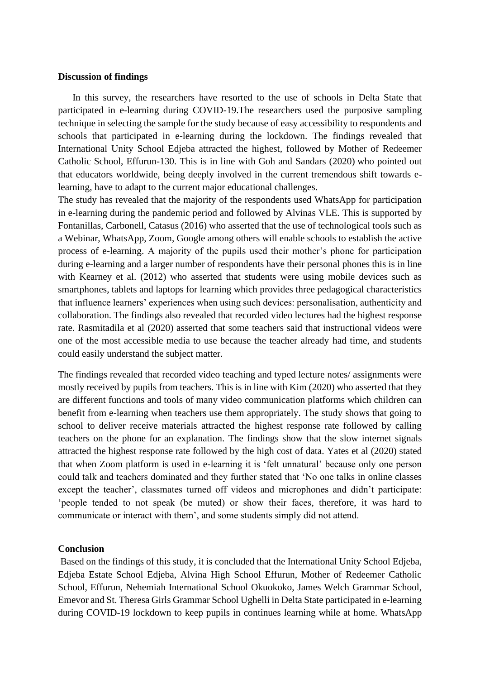#### **Discussion of findings**

 In this survey, the researchers have resorted to the use of schools in Delta State that participated in e-learning during COVID-19.The researchers used the purposive sampling technique in selecting the sample for the study because of easy accessibility to respondents and schools that participated in e-learning during the lockdown. The findings revealed that International Unity School Edjeba attracted the highest, followed by Mother of Redeemer Catholic School, Effurun-130. This is in line with Goh and Sandars (2020) who pointed out that educators worldwide, being deeply involved in the current tremendous shift towards elearning, have to adapt to the current major educational challenges.

The study has revealed that the majority of the respondents used WhatsApp for participation in e-learning during the pandemic period and followed by Alvinas VLE. This is supported by Fontanillas, Carbonell, Catasus (2016) who asserted that the use of technological tools such as a Webinar, WhatsApp, Zoom, Google among others will enable schools to establish the active process of e-learning. A majority of the pupils used their mother's phone for participation during e-learning and a larger number of respondents have their personal phones this is in line with Kearney et al. (2012) who asserted that students were using mobile devices such as smartphones, tablets and laptops for learning which provides three pedagogical characteristics that influence learners' experiences when using such devices: personalisation, authenticity and collaboration. The findings also revealed that recorded video lectures had the highest response rate. Rasmitadila et al (2020) asserted that some teachers said that instructional videos were one of the most accessible media to use because the teacher already had time, and students could easily understand the subject matter.

The findings revealed that recorded video teaching and typed lecture notes/ assignments were mostly received by pupils from teachers. This is in line with Kim (2020) who asserted that they are different functions and tools of many video communication platforms which children can benefit from e-learning when teachers use them appropriately. The study shows that going to school to deliver receive materials attracted the highest response rate followed by calling teachers on the phone for an explanation. The findings show that the slow internet signals attracted the highest response rate followed by the high cost of data. Yates et al (2020) stated that when Zoom platform is used in e-learning it is 'felt unnatural' because only one person could talk and teachers dominated and they further stated that 'No one talks in online classes except the teacher', classmates turned off videos and microphones and didn't participate: 'people tended to not speak (be muted) or show their faces, therefore, it was hard to communicate or interact with them', and some students simply did not attend.

#### **Conclusion**

Based on the findings of this study, it is concluded that the International Unity School Edjeba, Edjeba Estate School Edjeba, Alvina High School Effurun, Mother of Redeemer Catholic School, Effurun, Nehemiah International School Okuokoko, James Welch Grammar School, Emevor and St. Theresa Girls Grammar School Ughelli in Delta State participated in e-learning during COVID-19 lockdown to keep pupils in continues learning while at home. WhatsApp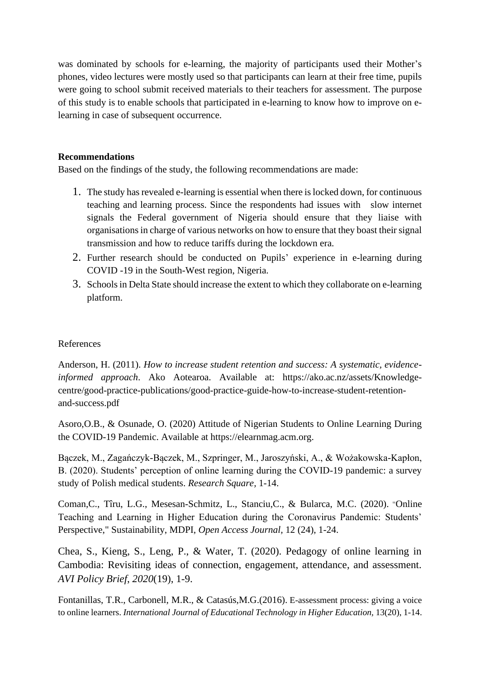was dominated by schools for e-learning, the majority of participants used their Mother's phones, video lectures were mostly used so that participants can learn at their free time, pupils were going to school submit received materials to their teachers for assessment. The purpose of this study is to enable schools that participated in e-learning to know how to improve on elearning in case of subsequent occurrence.

## **Recommendations**

Based on the findings of the study, the following recommendations are made:

- 1. The study has revealed e-learning is essential when there is locked down, for continuous teaching and learning process. Since the respondents had issues with slow internet signals the Federal government of Nigeria should ensure that they liaise with organisations in charge of various networks on how to ensure that they boast their signal transmission and how to reduce tariffs during the lockdown era.
- 2. Further research should be conducted on Pupils' experience in e-learning during COVID -19 in the South-West region, Nigeria.
- 3. Schools in Delta State should increase the extent to which they collaborate on e-learning platform.

## References

Anderson, H. (2011). *How to increase student retention and success: A systematic, evidenceinformed approach*. Ako Aotearoa. Available at: https://ako.ac.nz/assets/Knowledgecentre/good-practice-publications/good-practice-guide-how-to-increase-student-retentionand-success.pdf

Asoro,O.B., & Osunade, O. (2020) Attitude of Nigerian Students to Online Learning During the COVID-19 Pandemic. Available at https://elearnmag.acm.org.

Bączek, M., Zagańczyk-Bączek, M., Szpringer, M., Jaroszyński, A., & Wożakowska-Kapłon, B. (2020). Students' perception of online learning during the COVID-19 pandemic: a survey study of Polish medical students. *Research Square,* 1-14.

Coman,C., Tîru, L.G., Mesesan-Schmitz, L., Stanciu,C., & Bularca, M.C. (2020). "[Online](https://ideas.repec.org/a/gam/jsusta/v12y2020i24p10367-d460544.html)  [Teaching and Learning in Higher Education during the Coronavirus Pandemic: Students'](https://ideas.repec.org/a/gam/jsusta/v12y2020i24p10367-d460544.html)  [Perspective,](https://ideas.repec.org/a/gam/jsusta/v12y2020i24p10367-d460544.html)" [Sustainability,](https://ideas.repec.org/s/gam/jsusta.html) MDPI, *Open Access Journal,* 12 (24), 1-24.

Chea, S., Kieng, S., Leng, P., & Water, T. (2020). Pedagogy of online learning in Cambodia: Revisiting ideas of connection, engagement, attendance, and assessment. *AVI Policy Brief*, *2020*(19), 1-9.

Fontanillas, T.R., Carbonell, M.R., & Catasús,M.G.(2016). E-assessment process: giving a voice to online learners. *International Journal of Educational Technology in Higher Education,* 13(20), 1-14.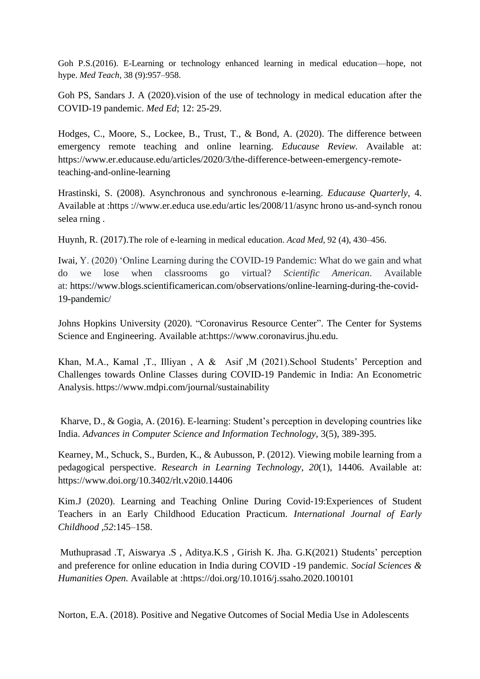Goh P.S.(2016). E-Learning or technology enhanced learning in medical education—hope, not hype. *Med Teach,* 38 (9):957–958.

Goh PS, Sandars J. A (2020) vision of the use of technology in medical education after the COVID-19 pandemic. *Med Ed*; 12: 25-29.

Hodges, C., Moore, S., Lockee, B., Trust, T., & Bond, A. (2020). The difference between emergency remote teaching and online learning. *Educause Review.* Available at: https://www.er.educause.edu/articles/2020/3/the-difference-between-emergency-remoteteaching-and-online-learning

Hrastinski, S. (2008). Asynchronous and synchronous e-learning. *Educause Quarterly,* 4. Available at :https ://www.er.educa use.edu/artic les/2008/11/async hrono us-and-synch ronou selea rning .

Huynh, R. (2017).The role of e-learning in medical education. *Acad Med*, 92 (4), 430–456.

Iwai, Y. (2020) 'Online Learning during the COVID-19 Pandemic: What do we gain and what do we lose when classrooms go virtual? *Scientific American*. Available at: [https://www.blogs.scientificamerican.com/observations/online-learning-during-the-covid-](https://www.blogs.scientificamerican.com/observations/online-learning-during-the-covid-19-pandemic/)[19-pandemic/](https://www.blogs.scientificamerican.com/observations/online-learning-during-the-covid-19-pandemic/)

Johns Hopkins University (2020). ["Coronavirus](https://coronavirus.jhu.edu/map.html) Resource Center". The Center for Systems Science and Engineering. Available at:https://www.coronavirus.jhu.edu.

Khan, M.A., Kamal ,T., Illiyan , A & Asif ,M (2021).School Students' Perception and Challenges towards Online Classes during COVID-19 Pandemic in India: An Econometric Analysis. https://www.mdpi.com/journal/sustainability

Kharve, D., & Gogia, A. (2016). E-learning: Student's perception in developing countries like India. *Advances in Computer Science and Information Technology,* 3(5), 389-395.

Kearney, M., Schuck, S., Burden, K., & Aubusson, P. (2012). Viewing mobile learning from a pedagogical perspective. *Research in Learning Technology*, *20*(1), 14406. Available at: https://www.doi.org/10.3402/rlt.v20i0.14406

Kim.J (2020). Learning and Teaching Online During Covid-19: Experiences of Student Teachers in an Early Childhood Education Practicum. *International Journal of Early Childhood ,52*:145–158.

Muthuprasad .T, Aiswarya .S , Aditya.K.S , Girish K. Jha. G.K(2021) Students' perception and preference for online education in India during COVID -19 pandemic. *Social Sciences & Humanities Open.* Available at :https://doi.org/10.1016/j.ssaho.2020.100101

Norton, E.A. (2018). Positive and Negative Outcomes of Social Media Use in Adolescents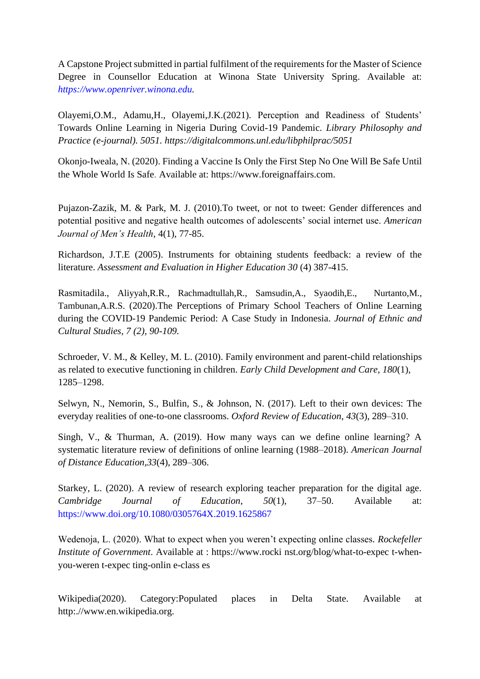A Capstone Project submitted in partial fulfilment of the requirements for the Master of Science Degree in Counsellor Education at Winona State University Spring. Available at: *[https://www.openriver.winona.edu.](https://www.openriver.winona.edu/)*

Olayemi,O.M., Adamu,H., Olayemi,J.K.(2021). Perception and Readiness of Students' Towards Online Learning in Nigeria During Covid-19 Pandemic. *Library Philosophy and Practice (e-journal). 5051. https://digitalcommons.unl.edu/libphilprac/5051*

Okonjo-Iweala, N. (2020). Finding a Vaccine Is Only the First Step No One Will Be Safe Until the Whole World Is Safe. Available at: https://www.foreignaffairs.com.

Pujazon-Zazik, M. & Park, M. J. (2010).To tweet, or not to tweet: Gender differences and potential positive and negative health outcomes of adolescents' social internet use. *American Journal of Men's Health*, 4(1), 77-85.

Richardson, J.T.E (2005). Instruments for obtaining students feedback: a review of the literature. *Assessment and Evaluation in Higher Education 30* (4) 387-415.

Rasmitadila., Aliyyah,R.R., Rachmadtullah,R., Samsudin,A., Syaodih,E., Nurtanto,M., Tambunan,A.R.S. (2020).The Perceptions of Primary School Teachers of Online Learning during the COVID-19 Pandemic Period: A Case Study in Indonesia. *Journal of Ethnic and Cultural Studies, 7 (2), 90-109.*

Schroeder, V. M., & Kelley, M. L. (2010). Family environment and parent-child relationships as related to executive functioning in children. *Early Child Development and Care, 180*(1), 1285–1298.

Selwyn, N., Nemorin, S., Bulfin, S., & Johnson, N. (2017). Left to their own devices: The everyday realities of one-to-one classrooms. *Oxford Review of Education*, *43*(3), 289–310.

Singh, V., & Thurman, A. (2019). How many ways can we define online learning? A systematic literature review of definitions of online learning (1988–2018). *American Journal of Distance Education,33*(4), 289–306.

Starkey, L. (2020). A review of research exploring teacher preparation for the digital age. *Cambridge Journal of Education*, *50*(1), 37–50. Available at: <https://www.doi.org/10.1080/0305764X.2019.1625867>

Wedenoja, L. (2020). What to expect when you weren't expecting online classes*. Rockefeller Institute of Government*. Available at : https://www.rocki nst.org/blog/what-to-expec t-whenyou-weren t-expec ting-onlin e-class es

Wikipedia(2020). [Category:Populated places in Delta State.](https://en.wikipedia.org/wiki/Category:Populated_places_in_Delta_State) Available at [http:.//www.en.wikipedia.org.](https://en.wikipedia.org/wiki/Category:Populated_places_in_Delta_State)